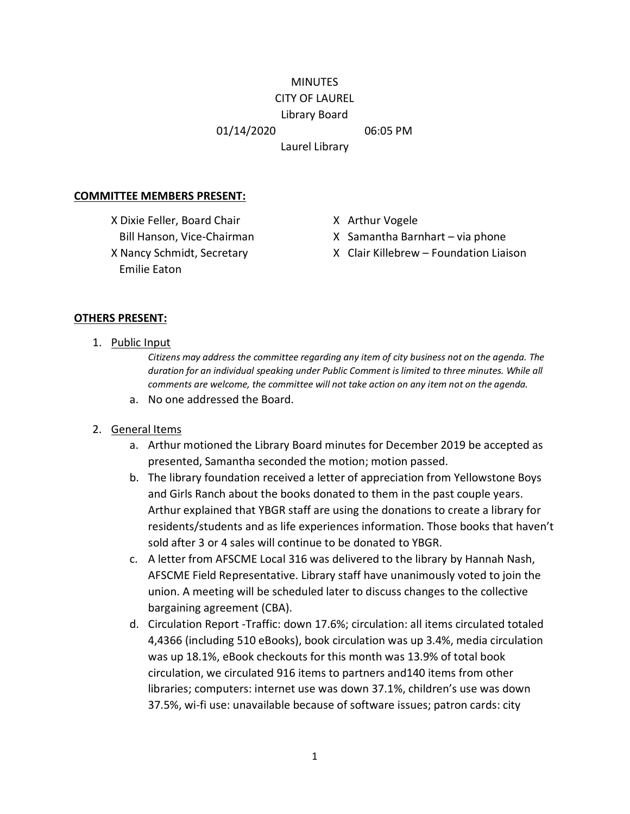#### **MINUTES** CITY OF LAUREL

# Library Board

01/14/2020 06:05 PM

Laurel Library

#### **COMMITTEE MEMBERS PRESENT:**

X Dixie Feller, Board Chair X Arthur Vogele Emilie Eaton

- 
- Bill Hanson, Vice-Chairman X Samantha Barnhart via phone
- X Nancy Schmidt, Secretary X Clair Killebrew Foundation Liaison

#### **OTHERS PRESENT:**

1. Public Input

*Citizens may address the committee regarding any item of city business not on the agenda. The duration for an individual speaking under Public Comment is limited to three minutes. While all comments are welcome, the committee will not take action on any item not on the agenda.*

a. No one addressed the Board.

### 2. General Items

- a. Arthur motioned the Library Board minutes for December 2019 be accepted as presented, Samantha seconded the motion; motion passed.
- b. The library foundation received a letter of appreciation from Yellowstone Boys and Girls Ranch about the books donated to them in the past couple years. Arthur explained that YBGR staff are using the donations to create a library for residents/students and as life experiences information. Those books that haven't sold after 3 or 4 sales will continue to be donated to YBGR.
- c. A letter from AFSCME Local 316 was delivered to the library by Hannah Nash, AFSCME Field Representative. Library staff have unanimously voted to join the union. A meeting will be scheduled later to discuss changes to the collective bargaining agreement (CBA).
- d. Circulation Report -Traffic: down 17.6%; circulation: all items circulated totaled 4,4366 (including 510 eBooks), book circulation was up 3.4%, media circulation was up 18.1%, eBook checkouts for this month was 13.9% of total book circulation, we circulated 916 items to partners and140 items from other libraries; computers: internet use was down 37.1%, children's use was down 37.5%, wi-fi use: unavailable because of software issues; patron cards: city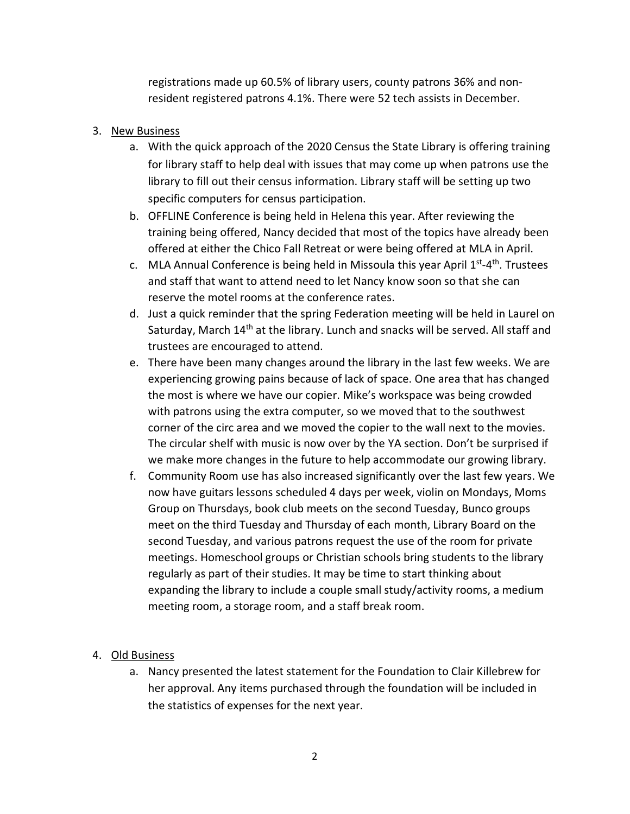registrations made up 60.5% of library users, county patrons 36% and nonresident registered patrons 4.1%. There were 52 tech assists in December.

## 3. New Business

- a. With the quick approach of the 2020 Census the State Library is offering training for library staff to help deal with issues that may come up when patrons use the library to fill out their census information. Library staff will be setting up two specific computers for census participation.
- b. OFFLINE Conference is being held in Helena this year. After reviewing the training being offered, Nancy decided that most of the topics have already been offered at either the Chico Fall Retreat or were being offered at MLA in April.
- c. MLA Annual Conference is being held in Missoula this year April  $1<sup>st</sup>-4<sup>th</sup>$ . Trustees and staff that want to attend need to let Nancy know soon so that she can reserve the motel rooms at the conference rates.
- d. Just a quick reminder that the spring Federation meeting will be held in Laurel on Saturday, March 14<sup>th</sup> at the library. Lunch and snacks will be served. All staff and trustees are encouraged to attend.
- e. There have been many changes around the library in the last few weeks. We are experiencing growing pains because of lack of space. One area that has changed the most is where we have our copier. Mike's workspace was being crowded with patrons using the extra computer, so we moved that to the southwest corner of the circ area and we moved the copier to the wall next to the movies. The circular shelf with music is now over by the YA section. Don't be surprised if we make more changes in the future to help accommodate our growing library.
- f. Community Room use has also increased significantly over the last few years. We now have guitars lessons scheduled 4 days per week, violin on Mondays, Moms Group on Thursdays, book club meets on the second Tuesday, Bunco groups meet on the third Tuesday and Thursday of each month, Library Board on the second Tuesday, and various patrons request the use of the room for private meetings. Homeschool groups or Christian schools bring students to the library regularly as part of their studies. It may be time to start thinking about expanding the library to include a couple small study/activity rooms, a medium meeting room, a storage room, and a staff break room.

## 4. Old Business

a. Nancy presented the latest statement for the Foundation to Clair Killebrew for her approval. Any items purchased through the foundation will be included in the statistics of expenses for the next year.